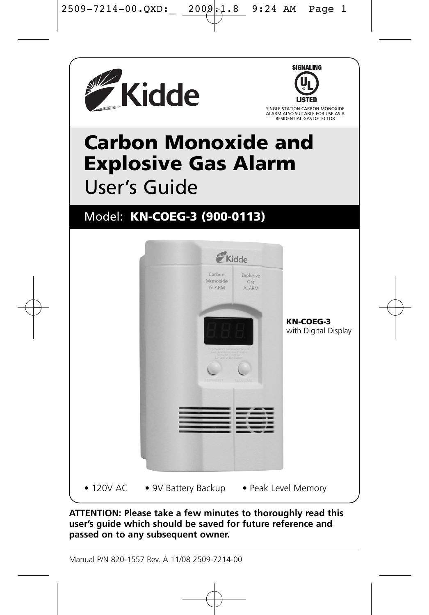



SINGLE STATION CARBON MONOXIDE ALARM ALSO SUITABLE FOR USE AS A RESIDENTIAL GAS DETECTOR

# **Carbon Monoxide and Explosive Gas Alarm** User's Guide

# Model: **KN-COEG-3 (900-0113)**



**ATTENTION: Please take a few minutes to thoroughly read this user's guide which should be saved for future reference and passed on to any subsequent owner.**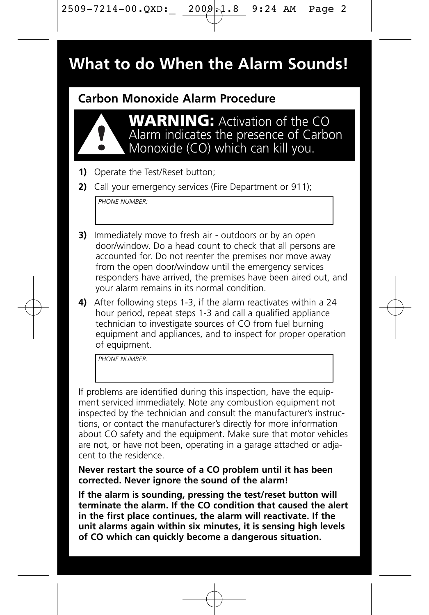# **What to do When the Alarm Sounds!**

## **Carbon Monoxide Alarm Procedure**



**WARNING:** Activation of the CO Alarm indicates the presence of Carbon Monoxide (CO) which can kill you.

- **1)** Operate the Test/Reset button;
- **2)** Call your emergency services (Fire Department or 911);

*PHONE NUMBER:*

- **3)** Immediately move to fresh air outdoors or by an open door/window. Do a head count to check that all persons are accounted for. Do not reenter the premises nor move away from the open door/window until the emergency services responders have arrived, the premises have been aired out, and your alarm remains in its normal condition.
- **4)** After following steps 1-3, if the alarm reactivates within a 24 hour period, repeat steps 1-3 and call a qualified appliance technician to investigate sources of CO from fuel burning equipment and appliances, and to inspect for proper operation of equipment.

*PHONE NUMBER:*

If problems are identified during this inspection, have the equipment serviced immediately. Note any combustion equipment not inspected by the technician and consult the manufacturer's instructions, or contact the manufacturer's directly for more information about CO safety and the equipment. Make sure that motor vehicles are not, or have not been, operating in a garage attached or adjacent to the residence.

**Never restart the source of a CO problem until it has been corrected. Never ignore the sound of the alarm!**

**If the alarm is sounding, pressing the test/reset button will terminate the alarm. If the CO condition that caused the alert in the first place continues, the alarm will reactivate. If the unit alarms again within six minutes, it is sensing high levels of CO which can quickly become a dangerous situation.**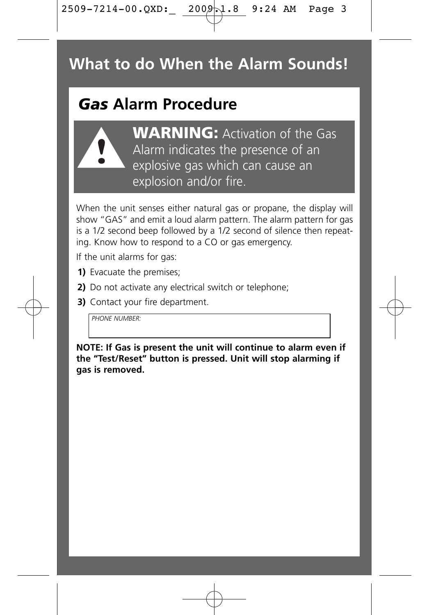# **What to do When the Alarm Sounds!**

# *Gas* **Alarm Procedure**



**WARNING:** Activation of the Gas Alarm indicates the presence of an explosive gas which can cause an explosion and/or fire.

When the unit senses either natural gas or propane, the display will show "GAS" and emit a loud alarm pattern. The alarm pattern for gas is a 1/2 second beep followed by a 1/2 second of silence then repeating. Know how to respond to a CO or gas emergency.

If the unit alarms for gas:

- **1)** Evacuate the premises;
- **2)** Do not activate any electrical switch or telephone;
- **3)** Contact your fire department.

*PHONE NUMBER:*

**NOTE: If Gas is present the unit will continue to alarm even if the "Test/Reset" button is pressed. Unit will stop alarming if gas is removed.**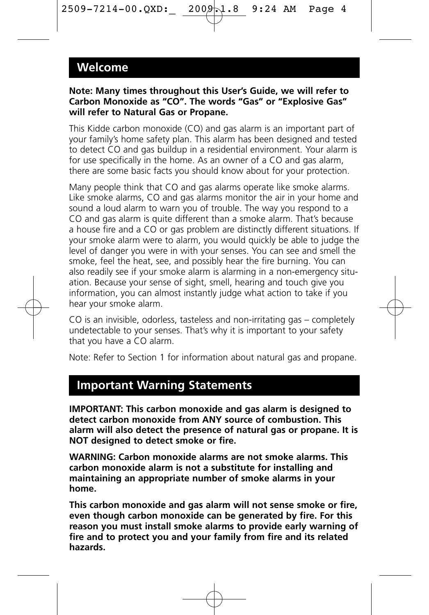### **Welcome**

#### **Note: Many times throughout this User's Guide, we will refer to Carbon Monoxide as "CO". The words "Gas" or "Explosive Gas" will refer to Natural Gas or Propane.**

This Kidde carbon monoxide (CO) and gas alarm is an important part of your family's home safety plan. This alarm has been designed and tested to detect CO and gas buildup in a residential environment. Your alarm is for use specifically in the home. As an owner of a CO and gas alarm there are some basic facts you should know about for your protection.

Many people think that CO and gas alarms operate like smoke alarms. Like smoke alarms, CO and gas alarms monitor the air in your home and sound a loud alarm to warn you of trouble. The way you respond to a CO and gas alarm is quite different than a smoke alarm. That's because a house fire and a CO or gas problem are distinctly different situations. If your smoke alarm were to alarm, you would quickly be able to judge the level of danger you were in with your senses. You can see and smell the smoke, feel the heat, see, and possibly hear the fire burning. You can also readily see if your smoke alarm is alarming in a non-emergency situation. Because your sense of sight, smell, hearing and touch give you information, you can almost instantly judge what action to take if you hear your smoke alarm.

CO is an invisible, odorless, tasteless and non-irritating gas – completely undetectable to your senses. That's why it is important to your safety that you have a CO alarm.

Note: Refer to Section 1 for information about natural gas and propane.

# **Important Warning Statements**

**IMPORTANT: This carbon monoxide and gas alarm is designed to detect carbon monoxide from ANY source of combustion. This alarm will also detect the presence of natural gas or propane. It is NOT designed to detect smoke or fire.**

**WARNING: Carbon monoxide alarms are not smoke alarms. This carbon monoxide alarm is not a substitute for installing and maintaining an appropriate number of smoke alarms in your home.**

**This carbon monoxide and gas alarm will not sense smoke or fire, even though carbon monoxide can be generated by fire. For this reason you must install smoke alarms to provide early warning of fire and to protect you and your family from fire and its related hazards.**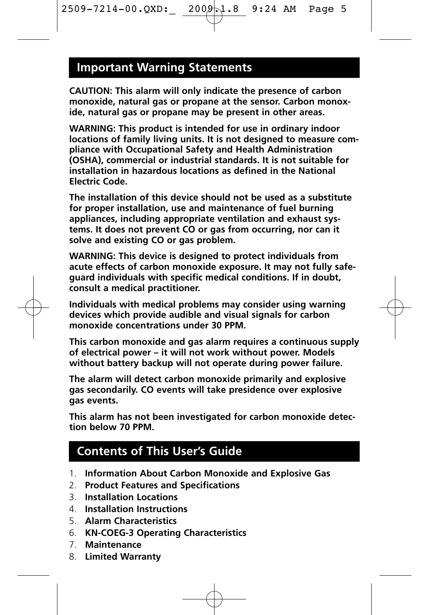### **Important Warning Statements**

**CAUTION: This alarm will only indicate the presence of carbon monoxide, natural gas or propane at the sensor. Carbon monoxide, natural gas or propane may be present in other areas.**

**WARNING: This product is intended for use in ordinary indoor locations of family living units. It is not designed to measure compliance with Occupational Safety and Health Administration (OSHA), commercial or industrial standards. It is not suitable for installation in hazardous locations as defined in the National Electric Code.**

**The installation of this device should not be used as a substitute for proper installation, use and maintenance of fuel burning appliances, including appropriate ventilation and exhaust systems. It does not prevent CO or gas from occurring, nor can it solve and existing CO or gas problem.**

**WARNING: This device is designed to protect individuals from acute effects of carbon monoxide exposure. It may not fully safeguard individuals with specific medical conditions. If in doubt, consult a medical practitioner.**

**Individuals with medical problems may consider using warning devices which provide audible and visual signals for carbon monoxide concentrations under 30 PPM.**

**This carbon monoxide and gas alarm requires a continuous supply of electrical power – it will not work without power. Models without battery backup will not operate during power failure.** 

**The alarm will detect carbon monoxide primarily and explosive gas secondarily. CO events will take presidence over explosive gas events.**

**This alarm has not been investigated for carbon monoxide detection below 70 PPM.**

# **Contents of This User's Guide**

- 1. **Information About Carbon Monoxide and Explosive Gas**
- 2. **Product Features and Specifications**
- 3. **Installation Locations**
- 4. **Installation Instructions**
- 5. **Alarm Characteristics**
- 6. **KN-COEG-3 Operating Characteristics**
- 7. **Maintenance**
- 8. **Limited Warranty**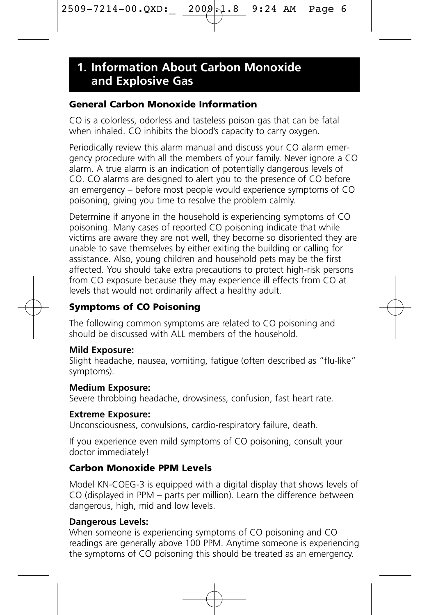### **General Carbon Monoxide Information**

CO is a colorless, odorless and tasteless poison gas that can be fatal when inhaled. CO inhibits the blood's capacity to carry oxygen.

Periodically review this alarm manual and discuss your CO alarm emergency procedure with all the members of your family. Never ignore a CO alarm. A true alarm is an indication of potentially dangerous levels of CO. CO alarms are designed to alert you to the presence of CO before an emergency – before most people would experience symptoms of CO poisoning, giving you time to resolve the problem calmly.

Determine if anyone in the household is experiencing symptoms of CO poisoning. Many cases of reported CO poisoning indicate that while victims are aware they are not well, they become so disoriented they are unable to save themselves by either exiting the building or calling for assistance. Also, young children and household pets may be the first affected. You should take extra precautions to protect high-risk persons from CO exposure because they may experience ill effects from CO at levels that would not ordinarily affect a healthy adult.

### **Symptoms of CO Poisoning**

The following common symptoms are related to CO poisoning and should be discussed with ALL members of the household.

### **Mild Exposure:**

Slight headache, nausea, vomiting, fatigue (often described as "flu-like" symptoms).

#### **Medium Exposure:**

Severe throbbing headache, drowsiness, confusion, fast heart rate.

#### **Extreme Exposure:**

Unconsciousness, convulsions, cardio-respiratory failure, death.

If you experience even mild symptoms of CO poisoning, consult your doctor immediately!

### **Carbon Monoxide PPM Levels**

Model KN-COEG-3 is equipped with a digital display that shows levels of CO (displayed in PPM – parts per million). Learn the difference between dangerous, high, mid and low levels.

### **Dangerous Levels:**

When someone is experiencing symptoms of CO poisoning and CO readings are generally above 100 PPM. Anytime someone is experiencing the symptoms of CO poisoning this should be treated as an emergency.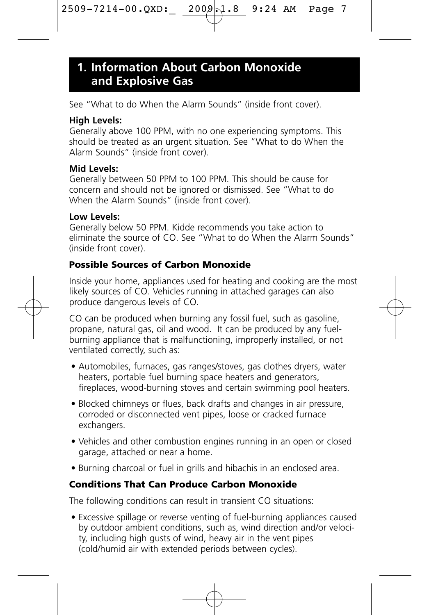See "What to do When the Alarm Sounds" (inside front cover).

### **High Levels:**

Generally above 100 PPM, with no one experiencing symptoms. This should be treated as an urgent situation. See "What to do When the Alarm Sounds" (inside front cover).

### **Mid Levels:**

Generally between 50 PPM to 100 PPM. This should be cause for concern and should not be ignored or dismissed. See "What to do When the Alarm Sounds" (inside front cover).

### **Low Levels:**

Generally below 50 PPM. Kidde recommends you take action to eliminate the source of CO. See "What to do When the Alarm Sounds" (inside front cover).

### **Possible Sources of Carbon Monoxide**

Inside your home, appliances used for heating and cooking are the most likely sources of CO. Vehicles running in attached garages can also produce dangerous levels of CO.

CO can be produced when burning any fossil fuel, such as gasoline, propane, natural gas, oil and wood. It can be produced by any fuelburning appliance that is malfunctioning, improperly installed, or not ventilated correctly, such as:

- Automobiles, furnaces, gas ranges/stoves, gas clothes dryers, water heaters, portable fuel burning space heaters and generators, fireplaces, wood-burning stoves and certain swimming pool heaters.
- Blocked chimneys or flues, back drafts and changes in air pressure, corroded or disconnected vent pipes, loose or cracked furnace exchangers.
- Vehicles and other combustion engines running in an open or closed garage, attached or near a home.
- Burning charcoal or fuel in grills and hibachis in an enclosed area.

### **Conditions That Can Produce Carbon Monoxide**

The following conditions can result in transient CO situations:

• Excessive spillage or reverse venting of fuel-burning appliances caused by outdoor ambient conditions, such as, wind direction and/or velocity, including high gusts of wind, heavy air in the vent pipes (cold/humid air with extended periods between cycles).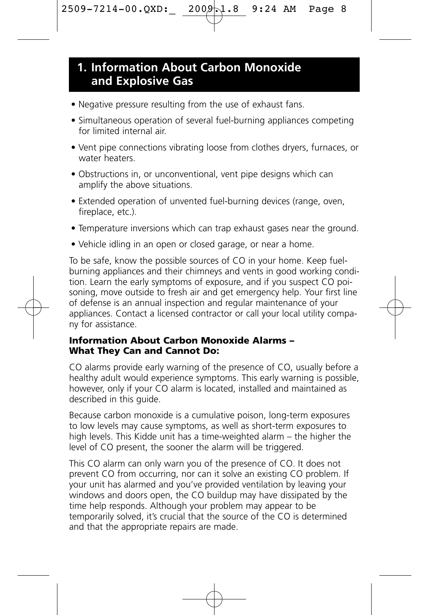- Negative pressure resulting from the use of exhaust fans.
- Simultaneous operation of several fuel-burning appliances competing for limited internal air.
- Vent pipe connections vibrating loose from clothes dryers, furnaces, or water heaters.
- Obstructions in, or unconventional, vent pipe designs which can amplify the above situations.
- Extended operation of unvented fuel-burning devices (range, oven, fireplace, etc.).
- Temperature inversions which can trap exhaust gases near the ground.
- Vehicle idling in an open or closed garage, or near a home.

To be safe, know the possible sources of CO in your home. Keep fuelburning appliances and their chimneys and vents in good working condition. Learn the early symptoms of exposure, and if you suspect CO poisoning, move outside to fresh air and get emergency help. Your first line of defense is an annual inspection and regular maintenance of your appliances. Contact a licensed contractor or call your local utility company for assistance.

### **Information About Carbon Monoxide Alarms – What They Can and Cannot Do:**

CO alarms provide early warning of the presence of CO, usually before a healthy adult would experience symptoms. This early warning is possible, however, only if your CO alarm is located, installed and maintained as described in this quide.

Because carbon monoxide is a cumulative poison, long-term exposures to low levels may cause symptoms, as well as short-term exposures to high levels. This Kidde unit has a time-weighted alarm – the higher the level of CO present, the sooner the alarm will be triggered.

This CO alarm can only warn you of the presence of CO. It does not prevent CO from occurring, nor can it solve an existing CO problem. If your unit has alarmed and you've provided ventilation by leaving your windows and doors open, the CO buildup may have dissipated by the time help responds. Although your problem may appear to be temporarily solved, it's crucial that the source of the CO is determined and that the appropriate repairs are made.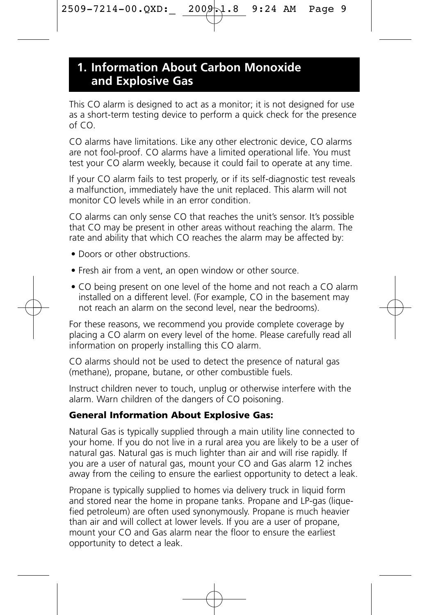This CO alarm is designed to act as a monitor; it is not designed for use as a short-term testing device to perform a quick check for the presence of CO.

CO alarms have limitations. Like any other electronic device, CO alarms are not fool-proof. CO alarms have a limited operational life. You must test your CO alarm weekly, because it could fail to operate at any time.

If your CO alarm fails to test properly, or if its self-diagnostic test reveals a malfunction, immediately have the unit replaced. This alarm will not monitor CO levels while in an error condition.

CO alarms can only sense CO that reaches the unit's sensor. It's possible that CO may be present in other areas without reaching the alarm. The rate and ability that which CO reaches the alarm may be affected by:

- Doors or other obstructions.
- Fresh air from a vent, an open window or other source.
- CO being present on one level of the home and not reach a CO alarm installed on a different level. (For example, CO in the basement may not reach an alarm on the second level, near the bedrooms).

For these reasons, we recommend you provide complete coverage by placing a CO alarm on every level of the home. Please carefully read all information on properly installing this CO alarm.

CO alarms should not be used to detect the presence of natural gas (methane), propane, butane, or other combustible fuels.

Instruct children never to touch, unplug or otherwise interfere with the alarm. Warn children of the dangers of CO poisoning.

### **General Information About Explosive Gas:**

Natural Gas is typically supplied through a main utility line connected to your home. If you do not live in a rural area you are likely to be a user of natural gas. Natural gas is much lighter than air and will rise rapidly. If you are a user of natural gas, mount your CO and Gas alarm 12 inches away from the ceiling to ensure the earliest opportunity to detect a leak.

Propane is typically supplied to homes via delivery truck in liquid form and stored near the home in propane tanks. Propane and LP-gas (liquefied petroleum) are often used synonymously. Propane is much heavier than air and will collect at lower levels. If you are a user of propane, mount your CO and Gas alarm near the floor to ensure the earliest opportunity to detect a leak.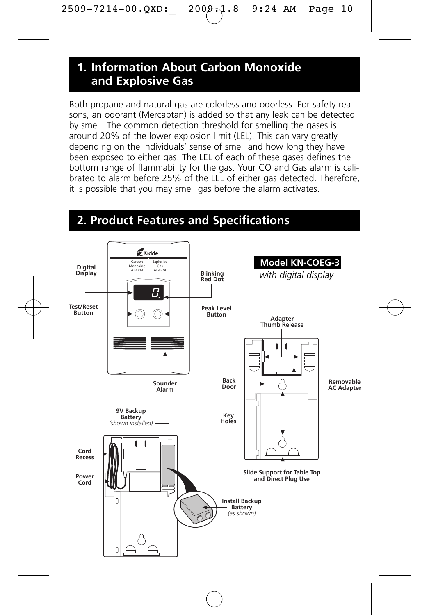Both propane and natural gas are colorless and odorless. For safety reasons, an odorant (Mercaptan) is added so that any leak can be detected by smell. The common detection threshold for smelling the gases is around 20% of the lower explosion limit (LEL). This can vary greatly depending on the individuals' sense of smell and how long they have been exposed to either gas. The LEL of each of these gases defines the bottom range of flammability for the gas. Your CO and Gas alarm is calibrated to alarm before 25% of the LEL of either gas detected. Therefore, it is possible that you may smell gas before the alarm activates.

### **2. Product Features and Specifications**

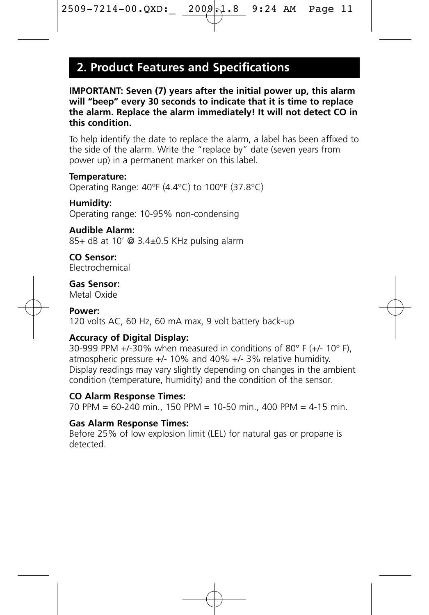# **2. Product Features and Specifications**

**IMPORTANT: Seven (7) years after the initial power up, this alarm will "beep" every 30 seconds to indicate that it is time to replace the alarm. Replace the alarm immediately! It will not detect CO in this condition.** 

To help identify the date to replace the alarm, a label has been affixed to the side of the alarm. Write the "replace by" date (seven years from power up) in a permanent marker on this label.

#### **Temperature:**

Operating Range: 40°F (4.4°C) to 100°F (37.8°C)

#### **Humidity:**

Operating range: 10-95% non-condensing

#### **Audible Alarm:**

85+ dB at 10' @ 3.4±0.5 KHz pulsing alarm

**CO Sensor:** Electrochemical

### **Gas Sensor:**

Metal Oxide

#### **Power:**

120 volts AC, 60 Hz, 60 mA max, 9 volt battery back-up

### **Accuracy of Digital Display:**

30-999 PPM +/-30% when measured in conditions of 80° F (+/- 10° F), atmospheric pressure +/- 10% and 40% +/- 3% relative humidity. Display readings may vary slightly depending on changes in the ambient condition (temperature, humidity) and the condition of the sensor.

#### **CO Alarm Response Times:**

70 PPM = 60-240 min., 150 PPM = 10-50 min., 400 PPM = 4-15 min.

#### **Gas Alarm Response Times:**

Before 25% of low explosion limit (LEL) for natural gas or propane is detected.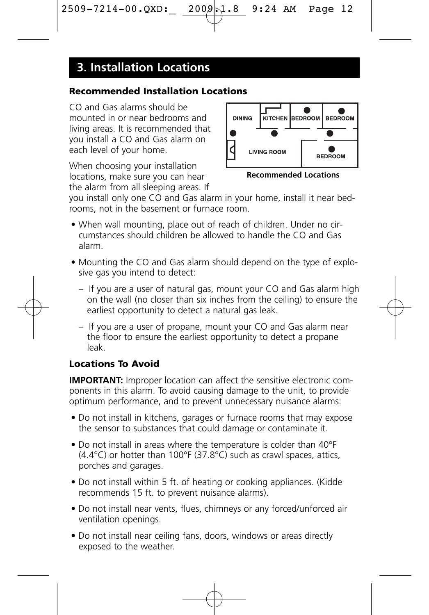# **3. Installation Locations**

### **Recommended Installation Locations**

CO and Gas alarms should be mounted in or near bedrooms and living areas. It is recommended that you install a CO and Gas alarm on each level of your home.

When choosing your installation locations, make sure you can hear the alarm from all sleeping areas. If



**Recommended Locations**

you install only one CO and Gas alarm in your home, install it near bedrooms, not in the basement or furnace room.

- When wall mounting, place out of reach of children. Under no circumstances should children be allowed to handle the CO and Gas alarm.
- Mounting the CO and Gas alarm should depend on the type of explosive gas you intend to detect:
	- If you are a user of natural gas, mount your CO and Gas alarm high on the wall (no closer than six inches from the ceiling) to ensure the earliest opportunity to detect a natural gas leak.
	- If you are a user of propane, mount your CO and Gas alarm near the floor to ensure the earliest opportunity to detect a propane leak.

### **Locations To Avoid**

**IMPORTANT:** Improper location can affect the sensitive electronic components in this alarm. To avoid causing damage to the unit, to provide optimum performance, and to prevent unnecessary nuisance alarms:

- Do not install in kitchens, garages or furnace rooms that may expose the sensor to substances that could damage or contaminate it.
- Do not install in areas where the temperature is colder than 40°F  $(4.4^{\circ}$ C) or hotter than 100°F (37.8°C) such as crawl spaces, attics, porches and garages.
- Do not install within 5 ft. of heating or cooking appliances. (Kidde recommends 15 ft. to prevent nuisance alarms).
- Do not install near vents, flues, chimneys or any forced/unforced air ventilation openings.
- Do not install near ceiling fans, doors, windows or areas directly exposed to the weather.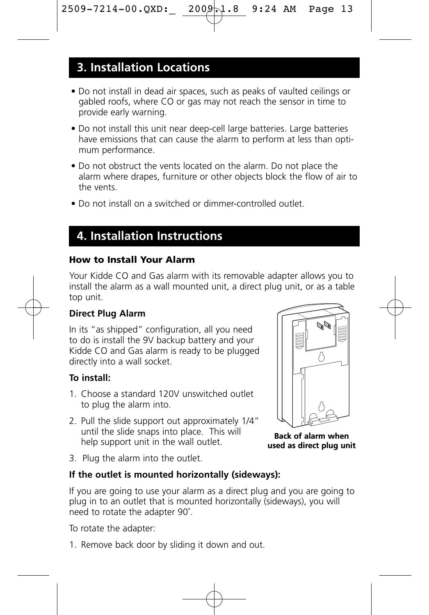## **3. Installation Locations**

- Do not install in dead air spaces, such as peaks of vaulted ceilings or gabled roofs, where CO or gas may not reach the sensor in time to provide early warning.
- Do not install this unit near deep-cell large batteries. Large batteries have emissions that can cause the alarm to perform at less than optimum performance.
- Do not obstruct the vents located on the alarm. Do not place the alarm where drapes, furniture or other objects block the flow of air to the vents.
- Do not install on a switched or dimmer-controlled outlet.

## **4. Installation Instructions**

### **How to Install Your Alarm**

Your Kidde CO and Gas alarm with its removable adapter allows you to install the alarm as a wall mounted unit, a direct plug unit, or as a table top unit.

### **Direct Plug Alarm**

In its "as shipped" configuration, all you need to do is install the 9V backup battery and your Kidde CO and Gas alarm is ready to be plugged directly into a wall socket.

#### **To install:**

- 1. Choose a standard 120V unswitched outlet to plug the alarm into.
- 2. Pull the slide support out approximately 1/4" until the slide snaps into place. This will help support unit in the wall outlet.
- 3. Plug the alarm into the outlet.

### **If the outlet is mounted horizontally (sideways):**

If you are going to use your alarm as a direct plug and you are going to plug in to an outlet that is mounted horizontally (sideways), you will need to rotate the adapter 90˚.

To rotate the adapter:

1. Remove back door by sliding it down and out.



**Back of alarm when used as direct plug unit**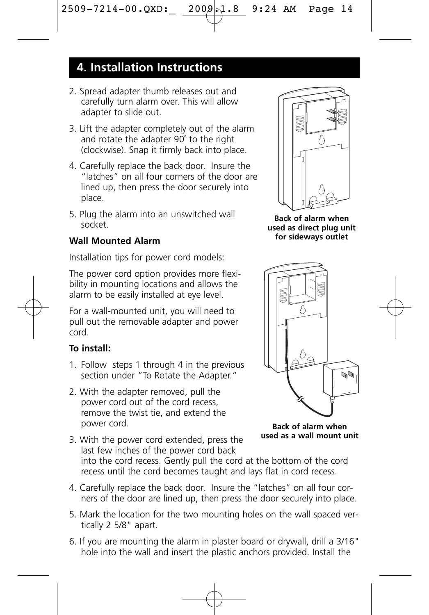# **4. Installation Instructions**

- 2. Spread adapter thumb releases out and carefully turn alarm over. This will allow adapter to slide out.
- 3. Lift the adapter completely out of the alarm and rotate the adapter 90˚ to the right (clockwise). Snap it firmly back into place.
- 4. Carefully replace the back door. Insure the "latches" on all four corners of the door are lined up, then press the door securely into place.
- 5. Plug the alarm into an unswitched wall socket.

### **Wall Mounted Alarm**

Installation tips for power cord models:

The power cord option provides more flexibility in mounting locations and allows the alarm to be easily installed at eye level.

For a wall-mounted unit, you will need to pull out the removable adapter and power cord.

### **To install:**

- 1. Follow steps 1 through 4 in the previous section under "To Rotate the Adapter."
- 2. With the adapter removed, pull the power cord out of the cord recess, remove the twist tie, and extend the power cord.
- 3. With the power cord extended, press the last few inches of the power cord back into the cord recess. Gently pull the cord at the bottom of the cord recess until the cord becomes taught and lays flat in cord recess.
- 4. Carefully replace the back door. Insure the "latches" on all four corners of the door are lined up, then press the door securely into place.
- 5. Mark the location for the two mounting holes on the wall spaced vertically 2 5/8" apart.
- 6. If you are mounting the alarm in plaster board or drywall, drill a 3/16" hole into the wall and insert the plastic anchors provided. Install the



**Back of alarm when used as direct plug unit for sideways outlet**



**Back of alarm when used as a wall mount unit**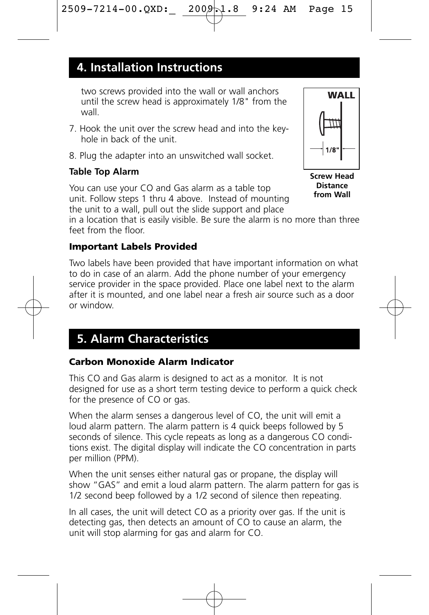## **4. Installation Instructions**

two screws provided into the wall or wall anchors until the screw head is approximately 1/8" from the wall.

- 7. Hook the unit over the screw head and into the keyhole in back of the unit.
- 8. Plug the adapter into an unswitched wall socket.

### **Table Top Alarm**

You can use your CO and Gas alarm as a table top unit. Follow steps 1 thru 4 above. Instead of mounting the unit to a wall, pull out the slide support and place

in a location that is easily visible. Be sure the alarm is no more than three feet from the floor.

### **Important Labels Provided**

Two labels have been provided that have important information on what to do in case of an alarm. Add the phone number of your emergency service provider in the space provided. Place one label next to the alarm after it is mounted, and one label near a fresh air source such as a door or window.

# **5. Alarm Characteristics**

### **Carbon Monoxide Alarm Indicator**

This CO and Gas alarm is designed to act as a monitor. It is not designed for use as a short term testing device to perform a quick check for the presence of CO or gas.

When the alarm senses a dangerous level of CO, the unit will emit a loud alarm pattern. The alarm pattern is 4 quick beeps followed by 5 seconds of silence. This cycle repeats as long as a dangerous CO conditions exist. The digital display will indicate the CO concentration in parts per million (PPM).

When the unit senses either natural gas or propane, the display will show "GAS" and emit a loud alarm pattern. The alarm pattern for gas is 1/2 second beep followed by a 1/2 second of silence then repeating.

In all cases, the unit will detect CO as a priority over gas. If the unit is detecting gas, then detects an amount of CO to cause an alarm, the unit will stop alarming for gas and alarm for CO.

**Screw Head Distance from Wall**

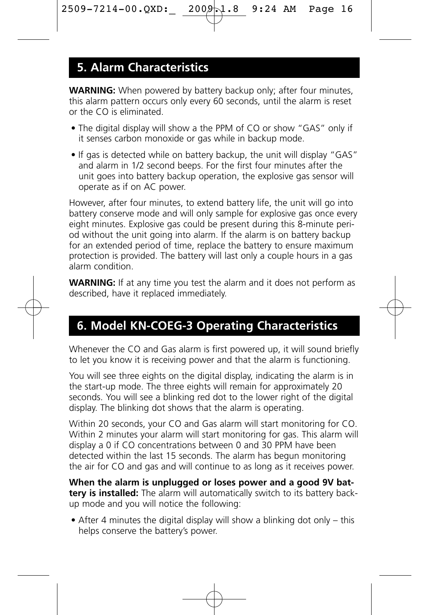# **5. Alarm Characteristics**

**WARNING:** When powered by battery backup only; after four minutes, this alarm pattern occurs only every 60 seconds, until the alarm is reset or the CO is eliminated.

- The digital display will show a the PPM of CO or show "GAS" only if it senses carbon monoxide or gas while in backup mode.
- If gas is detected while on battery backup, the unit will display "GAS" and alarm in 1/2 second beeps. For the first four minutes after the unit goes into battery backup operation, the explosive gas sensor will operate as if on AC power.

However, after four minutes, to extend battery life, the unit will go into battery conserve mode and will only sample for explosive gas once every eight minutes. Explosive gas could be present during this 8-minute period without the unit going into alarm. If the alarm is on battery backup for an extended period of time, replace the battery to ensure maximum protection is provided. The battery will last only a couple hours in a gas alarm condition.

**WARNING:** If at any time you test the alarm and it does not perform as described, have it replaced immediately.

# **6. Model KN-COEG-3 Operating Characteristics**

Whenever the CO and Gas alarm is first powered up, it will sound briefly to let you know it is receiving power and that the alarm is functioning.

You will see three eights on the digital display, indicating the alarm is in the start-up mode. The three eights will remain for approximately 20 seconds. You will see a blinking red dot to the lower right of the digital display. The blinking dot shows that the alarm is operating.

Within 20 seconds, your CO and Gas alarm will start monitoring for CO. Within 2 minutes your alarm will start monitoring for gas. This alarm will display a 0 if CO concentrations between 0 and 30 PPM have been detected within the last 15 seconds. The alarm has begun monitoring the air for CO and gas and will continue to as long as it receives power.

**When the alarm is unplugged or loses power and a good 9V battery is installed:** The alarm will automatically switch to its battery backup mode and you will notice the following:

• After 4 minutes the digital display will show a blinking dot only – this helps conserve the battery's power.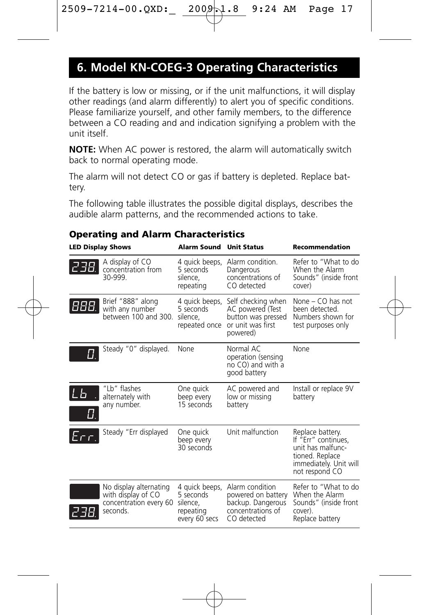# **6. Model KN-COEG-3 Operating Characteristics**

If the battery is low or missing, or if the unit malfunctions, it will display other readings (and alarm differently) to alert you of specific conditions. Please familiarize yourself, and other family members, to the difference between a CO reading and and indication signifying a problem with the unit itself.

**NOTE:** When AC power is restored, the alarm will automatically switch back to normal operating mode.

The alarm will not detect CO or gas if battery is depleted. Replace battery.

The following table illustrates the possible digital displays, describes the audible alarm patterns, and the recommended actions to take.

| <b>LED Display Shows</b> |                                                                                    | <b>Alarm Sound Unit Status</b>                                        |                                                                                                | Recommendation                                                                                                              |
|--------------------------|------------------------------------------------------------------------------------|-----------------------------------------------------------------------|------------------------------------------------------------------------------------------------|-----------------------------------------------------------------------------------------------------------------------------|
| 238.                     | A display of CO<br>concentration from<br>30-999                                    | 4 guick beeps,<br>5 seconds<br>silence.<br>repeating                  | Alarm condition.<br>Dangerous<br>concentrations of<br>CO detected                              | Refer to "What to do<br>When the Alarm<br>Sounds" (inside front<br>cover)                                                   |
| 888.                     | Brief "888" along<br>with any number<br>between 100 and 300.                       | 4 quick beeps,<br>5 seconds<br>silence.<br>repeated once              | Self checking when<br>AC powered (Test<br>button was pressed<br>or unit was first<br>powered)  | None - CO has not<br>been detected.<br>Numbers shown for<br>test purposes only                                              |
|                          | Steady "0" displayed.                                                              | None                                                                  | Normal AC<br>operation (sensing<br>no CO) and with a<br>good battery                           | None                                                                                                                        |
| ĽЬ                       | "I b" flashes<br>alternately with<br>any number.                                   | One quick<br>beep every<br>15 seconds                                 | AC powered and<br>low or missing<br>battery                                                    | Install or replace 9V<br>battery                                                                                            |
| Err.                     | Steady "Err displayed                                                              | One quick<br>beep every<br>30 seconds                                 | Unit malfunction                                                                               | Replace battery.<br>If "Err" continues,<br>unit has malfunc-<br>tioned. Replace<br>immediately. Unit will<br>not respond CO |
|                          | No display alternating<br>with display of CO<br>concentration every 60<br>seconds. | 4 quick beeps,<br>5 seconds<br>silence,<br>repeating<br>every 60 secs | Alarm condition<br>powered on battery<br>backup. Dangerous<br>concentrations of<br>CO detected | Refer to "What to do<br>When the Alarm<br>Sounds" (inside front<br>cover).<br>Replace battery                               |

#### **Operating and Alarm Characteristics**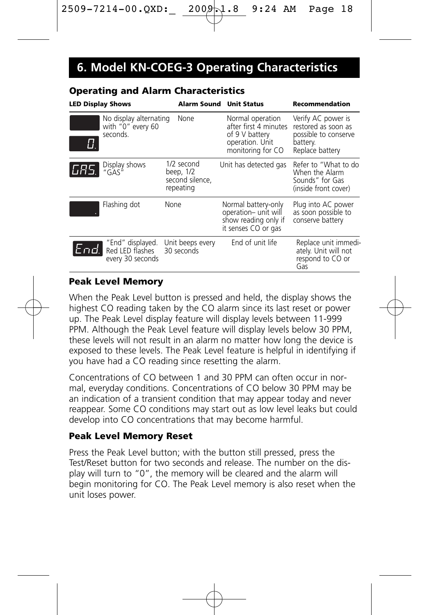# **6. Model KN-COEG-3 Operating Characteristics**

| <b>LED Display Shows</b>                      |                                             | Alarm Sound Unit Status                                 |                                                                                                     | <b>Recommendation</b>                                                                            |
|-----------------------------------------------|---------------------------------------------|---------------------------------------------------------|-----------------------------------------------------------------------------------------------------|--------------------------------------------------------------------------------------------------|
| seconds.                                      | No display alternating<br>with "0" every 60 | None                                                    | Normal operation<br>after first 4 minutes<br>of 9 V battery<br>operation. Unit<br>monitoring for CO | Verify AC power is<br>restored as soon as<br>possible to conserve<br>battery.<br>Replace battery |
| Display shows<br>"GAS"<br>IGAS.               |                                             | 1/2 second<br>beep, 1/2<br>second silence.<br>repeating | Unit has detected gas                                                                               | Refer to "What to do<br>When the Alarm<br>Sounds" for Gas<br>(inside front cover)                |
| Flashing dot                                  | None                                        |                                                         | Normal battery-only<br>operation- unit will<br>show reading only if<br>it senses CO or gas          | Plug into AC power<br>as soon possible to<br>conserve battery                                    |
| End. "End" displayed.<br>End. Red LED flashes | every 30 seconds                            | Unit beeps every<br>30 seconds                          | End of unit life                                                                                    | Replace unit immedi-<br>ately. Unit will not<br>respond to CO or<br>Gas                          |

### **Operating and Alarm Characteristics**

### **Peak Level Memory**

When the Peak Level button is pressed and held, the display shows the highest CO reading taken by the CO alarm since its last reset or power up. The Peak Level display feature will display levels between 11-999 PPM. Although the Peak Level feature will display levels below 30 PPM, these levels will not result in an alarm no matter how long the device is exposed to these levels. The Peak Level feature is helpful in identifying if you have had a CO reading since resetting the alarm.

Concentrations of CO between 1 and 30 PPM can often occur in normal, everyday conditions. Concentrations of CO below 30 PPM may be an indication of a transient condition that may appear today and never reappear. Some CO conditions may start out as low level leaks but could develop into CO concentrations that may become harmful.

### **Peak Level Memory Reset**

Press the Peak Level button; with the button still pressed, press the Test/Reset button for two seconds and release. The number on the display will turn to "0", the memory will be cleared and the alarm will begin monitoring for CO. The Peak Level memory is also reset when the unit loses power.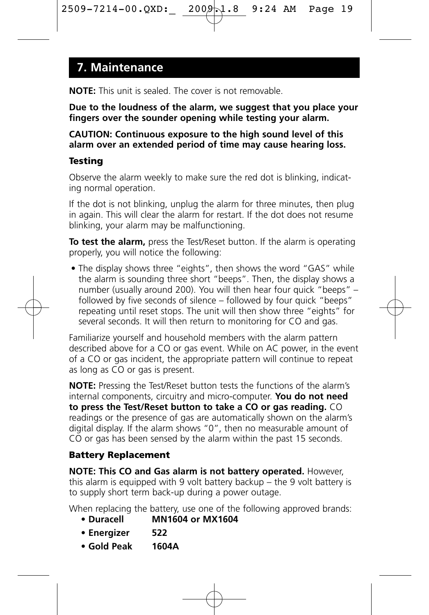### **7. Maintenance**

**NOTE:** This unit is sealed. The cover is not removable.

**Due to the loudness of the alarm, we suggest that you place your fingers over the sounder opening while testing your alarm.**

**CAUTION: Continuous exposure to the high sound level of this alarm over an extended period of time may cause hearing loss.**

### **Testing**

Observe the alarm weekly to make sure the red dot is blinking, indicating normal operation.

If the dot is not blinking, unplug the alarm for three minutes, then plug in again. This will clear the alarm for restart. If the dot does not resume blinking, your alarm may be malfunctioning.

**To test the alarm,** press the Test/Reset button. If the alarm is operating properly, you will notice the following:

• The display shows three "eights", then shows the word "GAS" while the alarm is sounding three short "beeps". Then, the display shows a number (usually around 200). You will then hear four quick "beeps" – followed by five seconds of silence – followed by four quick "beeps" repeating until reset stops. The unit will then show three "eights" for several seconds. It will then return to monitoring for CO and gas.

Familiarize yourself and household members with the alarm pattern described above for a CO or gas event. While on AC power, in the event of a CO or gas incident, the appropriate pattern will continue to repeat as long as CO or gas is present.

**NOTE:** Pressing the Test/Reset button tests the functions of the alarm's internal components, circuitry and micro-computer. **You do not need to press the Test/Reset button to take a CO or gas reading.** CO readings or the presence of gas are automatically shown on the alarm's digital display. If the alarm shows "0", then no measurable amount of  $\overline{CO}$  or gas has been sensed by the alarm within the past 15 seconds.

### **Battery Replacement**

**NOTE: This CO and Gas alarm is not battery operated.** However, this alarm is equipped with 9 volt battery backup – the 9 volt battery is to supply short term back-up during a power outage.

When replacing the battery, use one of the following approved brands:

- **Duracell MN1604 or MX1604**
- **Energizer 522**
- **Gold Peak 1604A**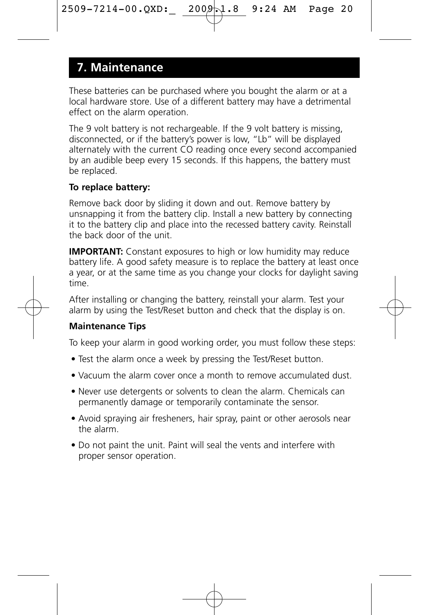### **7. Maintenance**

These batteries can be purchased where you bought the alarm or at a local hardware store. Use of a different battery may have a detrimental effect on the alarm operation.

The 9 volt battery is not rechargeable. If the 9 volt battery is missing, disconnected, or if the battery's power is low, "Lb" will be displayed alternately with the current CO reading once every second accompanied by an audible beep every 15 seconds. If this happens, the battery must be replaced.

### **To replace battery:**

Remove back door by sliding it down and out. Remove battery by unsnapping it from the battery clip. Install a new battery by connecting it to the battery clip and place into the recessed battery cavity. Reinstall the back door of the unit.

**IMPORTANT:** Constant exposures to high or low humidity may reduce battery life. A good safety measure is to replace the battery at least once a year, or at the same time as you change your clocks for daylight saving time.

After installing or changing the battery, reinstall your alarm. Test your alarm by using the Test/Reset button and check that the display is on.

### **Maintenance Tips**

To keep your alarm in good working order, you must follow these steps:

- Test the alarm once a week by pressing the Test/Reset button.
- Vacuum the alarm cover once a month to remove accumulated dust.
- Never use detergents or solvents to clean the alarm. Chemicals can permanently damage or temporarily contaminate the sensor.
- Avoid spraying air fresheners, hair spray, paint or other aerosols near the alarm.
- Do not paint the unit. Paint will seal the vents and interfere with proper sensor operation.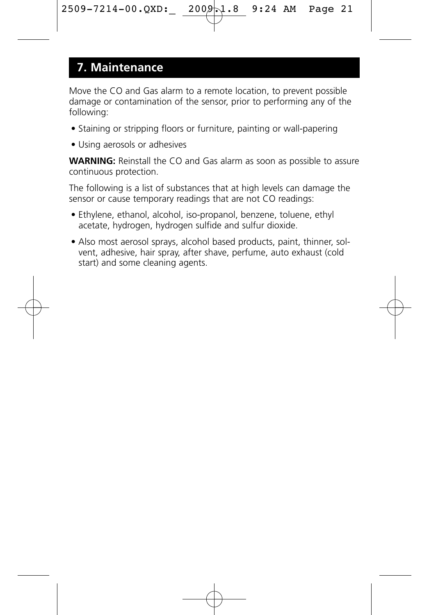### **7. Maintenance**

Move the CO and Gas alarm to a remote location, to prevent possible damage or contamination of the sensor, prior to performing any of the following:

- Staining or stripping floors or furniture, painting or wall-papering
- Using aerosols or adhesives

**WARNING:** Reinstall the CO and Gas alarm as soon as possible to assure continuous protection.

The following is a list of substances that at high levels can damage the sensor or cause temporary readings that are not CO readings:

- Ethylene, ethanol, alcohol, iso-propanol, benzene, toluene, ethyl acetate, hydrogen, hydrogen sulfide and sulfur dioxide.
- Also most aerosol sprays, alcohol based products, paint, thinner, solvent, adhesive, hair spray, after shave, perfume, auto exhaust (cold start) and some cleaning agents.